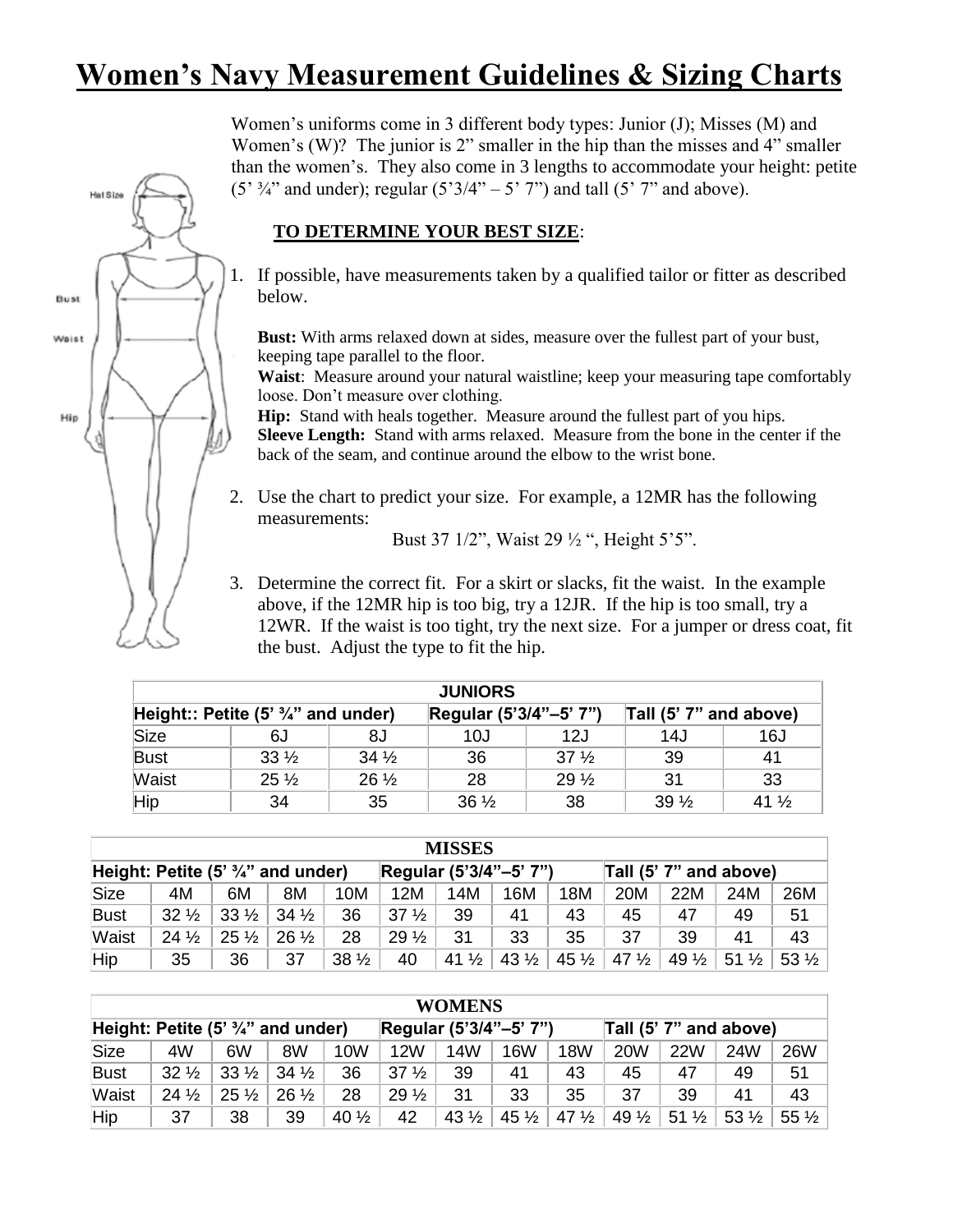# **Women's Navy Measurement Guidelines & Sizing Charts**

Hat Size Bust Waist Hip

Women's uniforms come in 3 different body types: Junior (J); Misses (M) and Women's (W)? The junior is 2" smaller in the hip than the misses and 4" smaller than the women's. They also come in 3 lengths to accommodate your height: petite  $(5'$ <sup>3/4"</sup> and under); regular  $(5'3/4" - 5' 7")$  and tall  $(5' 7"$  and above).

### **TO DETERMINE YOUR BEST SIZE**:

1. If possible, have measurements taken by a qualified tailor or fitter as described below.

**Bust:** With arms relaxed down at sides, measure over the fullest part of your bust, keeping tape parallel to the floor.

**Waist**: Measure around your natural waistline; keep your measuring tape comfortably loose. Don't measure over clothing.

**Hip:** Stand with heals together. Measure around the fullest part of you hips. **Sleeve Length:** Stand with arms relaxed. Measure from the bone in the center if the back of the seam, and continue around the elbow to the wrist bone.

2. Use the chart to predict your size. For example, a 12MR has the following measurements:

Bust 37 1/2", Waist 29 ½ ", Height 5'5".

3. Determine the correct fit. For a skirt or slacks, fit the waist. In the example above, if the 12MR hip is too big, try a 12JR. If the hip is too small, try a 12WR. If the waist is too tight, try the next size. For a jumper or dress coat, fit the bust. Adjust the type to fit the hip.

| <b>JUNIORS</b>                                                                                       |                 |                 |                 |                 |                 |                 |  |  |  |
|------------------------------------------------------------------------------------------------------|-----------------|-----------------|-----------------|-----------------|-----------------|-----------------|--|--|--|
| Regular (5'3/4"-5' 7")<br>Tall (5' 7" and above)<br>Height:: Petite $(5'$ $\frac{3}{4}$ " and under) |                 |                 |                 |                 |                 |                 |  |  |  |
| Size                                                                                                 | 6J              | 8J              | 10J             | 12J             | 14J             | 16J             |  |  |  |
| <b>Bust</b>                                                                                          | $33\frac{1}{2}$ | $34\frac{1}{2}$ | 36              | $37\frac{1}{2}$ | 39              | 41              |  |  |  |
| <b>Waist</b>                                                                                         | $25\frac{1}{2}$ | $26\frac{1}{2}$ | 28              | $29\frac{1}{2}$ | 31              | 33              |  |  |  |
| Hip                                                                                                  | 34              | 35              | $36\frac{1}{2}$ | 38              | 39 <sub>2</sub> | $41\frac{1}{2}$ |  |  |  |

| <b>MISSES</b>                                                                                       |                 |                 |                 |                 |                 |                 |                 |                 |                 |                  |                 |                                |
|-----------------------------------------------------------------------------------------------------|-----------------|-----------------|-----------------|-----------------|-----------------|-----------------|-----------------|-----------------|-----------------|------------------|-----------------|--------------------------------|
| Regular (5'3/4"-5' 7")<br>Height: Petite $(5'$ $\frac{3}{4}$ " and under)<br>Tall (5' 7" and above) |                 |                 |                 |                 |                 |                 |                 |                 |                 |                  |                 |                                |
| Size                                                                                                | 4M              | 6M              | 8M              | 10M             | 12M             | 14M             | 16M             | 18M             | 20M             | 22M              | 24M             | 26M                            |
| <b>Bust</b>                                                                                         | $32\frac{1}{2}$ | $33\frac{1}{2}$ | $34\frac{1}{2}$ | 36              | $37\frac{1}{2}$ | 39              | 41              | 43              | 45              | 47               | 49              | 51                             |
| Waist                                                                                               | $24\frac{1}{2}$ | $25\frac{1}{2}$ | $26\frac{1}{2}$ | 28              | $29\frac{1}{2}$ | 31              | 33              | 35              | 37              | 39               | 41              | 43                             |
| Hip                                                                                                 | 35              | 36              | 37              | $38\frac{1}{2}$ | 40              | $41\frac{1}{2}$ | $43\frac{1}{2}$ | $45\frac{1}{2}$ | $47\frac{1}{2}$ | 49 $\frac{1}{2}$ | $51\frac{1}{2}$ | 53 <sup>1</sup> / <sub>2</sub> |

| <b>WOMENS</b>                                   |                 |                 |                 |                 |                        |                 |                 |                 |                        |                 |                 |                 |
|-------------------------------------------------|-----------------|-----------------|-----------------|-----------------|------------------------|-----------------|-----------------|-----------------|------------------------|-----------------|-----------------|-----------------|
| Height: Petite $(5'$ $\frac{3}{4}$ " and under) |                 |                 |                 |                 | Regular (5'3/4"-5' 7") |                 |                 |                 | Tall (5' 7" and above) |                 |                 |                 |
| Size                                            | 4W              | 6W              | 8W              | <b>10W</b>      | 12W                    | 14W             | <b>16W</b>      | <b>18W</b>      | <b>20W</b>             | <b>22W</b>      | 24W             | 26W             |
| <b>Bust</b>                                     | $32\frac{1}{2}$ | $33\frac{1}{2}$ | $34\frac{1}{2}$ | 36              | $37\frac{1}{2}$        | 39              | 41              | 43              | 45                     | 47              | 49              | 51              |
| Waist                                           | $24\frac{1}{2}$ | $25\frac{1}{2}$ | $26\frac{1}{2}$ | 28              | $29\frac{1}{2}$        | 31              | 33              | 35              | 37                     | 39              | 41              | 43              |
| Hip                                             | 37              | 38              | 39              | $40\frac{1}{2}$ | 42                     | $43\frac{1}{2}$ | $45\frac{1}{2}$ | $47\frac{1}{2}$ | $49\frac{1}{2}$        | $51\frac{1}{2}$ | $53\frac{1}{2}$ | $55\frac{1}{2}$ |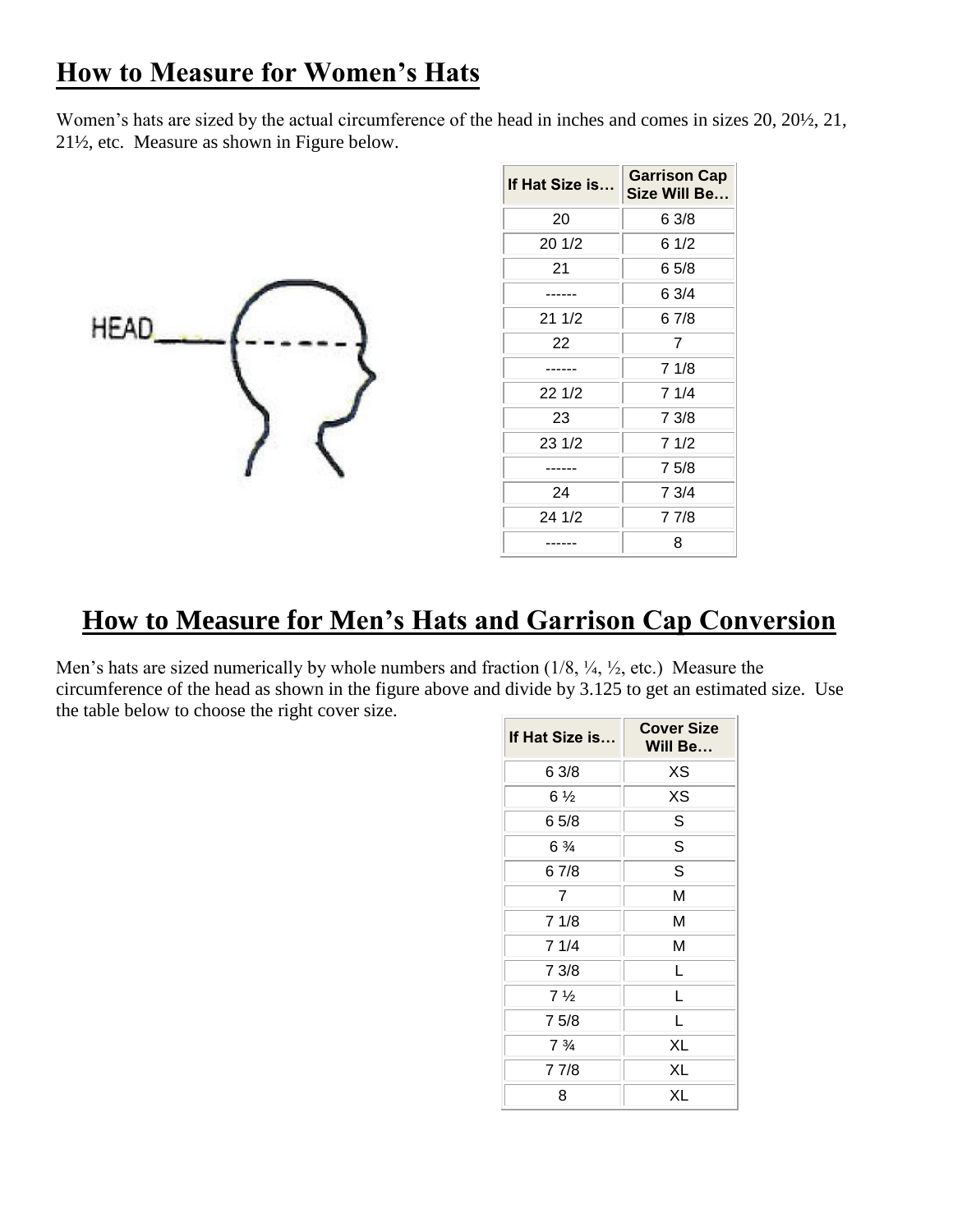## **How to Measure for Women's Hats**

Women's hats are sized by the actual circumference of the head in inches and comes in sizes 20, 20½, 21, 21½, etc. Measure as shown in Figure below.



| If Hat Size is | <b>Garrison Cap</b><br>Size Will Be |  |  |  |
|----------------|-------------------------------------|--|--|--|
| 20             | 6 3/8                               |  |  |  |
| 20 1/2         | 61/2                                |  |  |  |
| 21             | 65/8                                |  |  |  |
|                | 6 3/4                               |  |  |  |
| 21 1/2         | 6 7/8                               |  |  |  |
| 22             | 7                                   |  |  |  |
|                | 71/8                                |  |  |  |
| 22 1/2         | 7 1/4                               |  |  |  |
| 23             | 73/8                                |  |  |  |
| 23 1/2         | 71/2                                |  |  |  |
|                | 75/8                                |  |  |  |
| 24             | 7 3/4                               |  |  |  |
| 24 1/2         | 7 7/8                               |  |  |  |
|                | 8                                   |  |  |  |

### **How to Measure for Men's Hats and Garrison Cap Conversion**

Men's hats are sized numerically by whole numbers and fraction (1/8, ¼, ½, etc.) Measure the circumference of the head as shown in the figure above and divide by 3.125 to get an estimated size. Use the table below to choose the right cover size.

| If Hat Size is | <b>Cover Size</b><br>Will Be… |  |  |  |
|----------------|-------------------------------|--|--|--|
| 6 3/8          | XS                            |  |  |  |
| $6\frac{1}{2}$ | XS                            |  |  |  |
| 6 5/8          | S                             |  |  |  |
| $6\frac{3}{4}$ | S                             |  |  |  |
| 67/8           | S                             |  |  |  |
| 7              | М                             |  |  |  |
| 71/8           | М                             |  |  |  |
| 7 1/4          | М                             |  |  |  |
| 7 3/8          | L                             |  |  |  |
| $7\frac{1}{2}$ | L                             |  |  |  |
| 75/8           | L                             |  |  |  |
| $7\frac{3}{4}$ | XL                            |  |  |  |
| 77/8           | XL                            |  |  |  |
| 8              | XL                            |  |  |  |